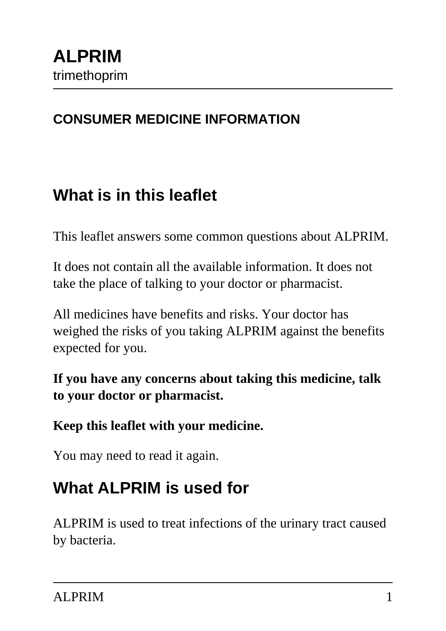### **CONSUMER MEDICINE INFORMATION**

## **What is in this leaflet**

This leaflet answers some common questions about ALPRIM.

It does not contain all the available information. It does not take the place of talking to your doctor or pharmacist.

All medicines have benefits and risks. Your doctor has weighed the risks of you taking ALPRIM against the benefits expected for you.

#### **If you have any concerns about taking this medicine, talk to your doctor or pharmacist.**

#### **Keep this leaflet with your medicine.**

You may need to read it again.

# **What ALPRIM is used for**

ALPRIM is used to treat infections of the urinary tract caused by bacteria.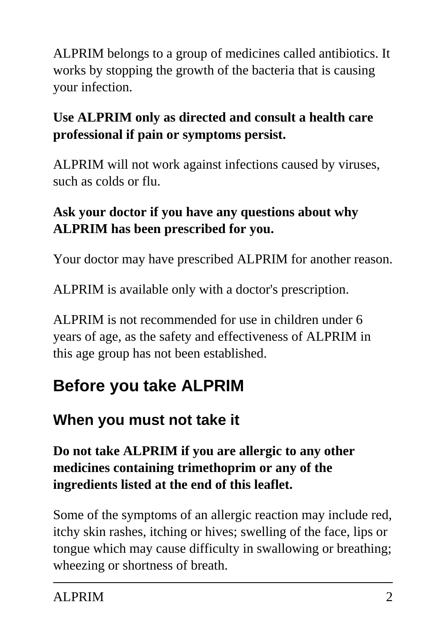ALPRIM belongs to a group of medicines called antibiotics. It works by stopping the growth of the bacteria that is causing your infection.

### **Use ALPRIM only as directed and consult a health care professional if pain or symptoms persist.**

ALPRIM will not work against infections caused by viruses, such as colds or flu.

### **Ask your doctor if you have any questions about why ALPRIM has been prescribed for you.**

Your doctor may have prescribed ALPRIM for another reason.

ALPRIM is available only with a doctor's prescription.

ALPRIM is not recommended for use in children under 6 years of age, as the safety and effectiveness of ALPRIM in this age group has not been established.

# **Before you take ALPRIM**

### **When you must not take it**

### **Do not take ALPRIM if you are allergic to any other medicines containing trimethoprim or any of the ingredients listed at the end of this leaflet.**

Some of the symptoms of an allergic reaction may include red, itchy skin rashes, itching or hives; swelling of the face, lips or tongue which may cause difficulty in swallowing or breathing; wheezing or shortness of breath.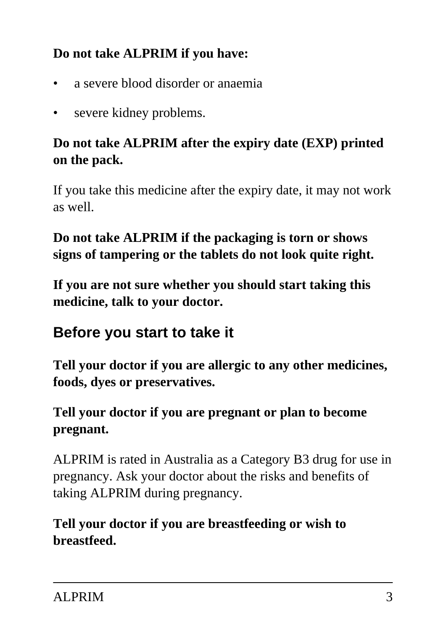### **Do not take ALPRIM if you have:**

- a severe blood disorder or anaemia
- severe kidney problems.

### **Do not take ALPRIM after the expiry date (EXP) printed on the pack.**

If you take this medicine after the expiry date, it may not work as well.

### **Do not take ALPRIM if the packaging is torn or shows signs of tampering or the tablets do not look quite right.**

**If you are not sure whether you should start taking this medicine, talk to your doctor.**

### **Before you start to take it**

**Tell your doctor if you are allergic to any other medicines, foods, dyes or preservatives.**

### **Tell your doctor if you are pregnant or plan to become pregnant.**

ALPRIM is rated in Australia as a Category B3 drug for use in pregnancy. Ask your doctor about the risks and benefits of taking ALPRIM during pregnancy.

**Tell your doctor if you are breastfeeding or wish to breastfeed.**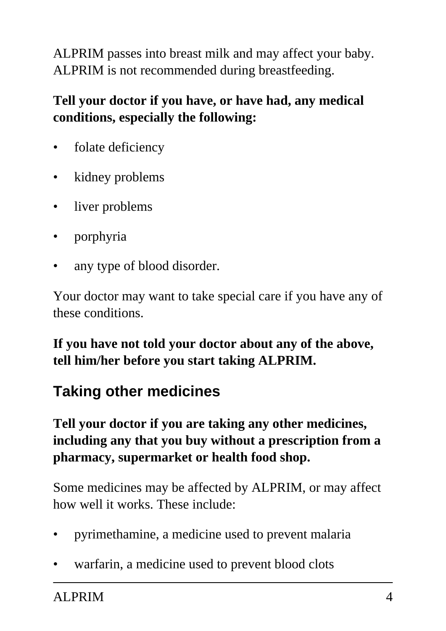ALPRIM passes into breast milk and may affect your baby. ALPRIM is not recommended during breastfeeding.

### **Tell your doctor if you have, or have had, any medical conditions, especially the following:**

- folate deficiency
- kidney problems
- liver problems
- porphyria
- any type of blood disorder.

Your doctor may want to take special care if you have any of these conditions.

**If you have not told your doctor about any of the above, tell him/her before you start taking ALPRIM.**

## **Taking other medicines**

#### **Tell your doctor if you are taking any other medicines, including any that you buy without a prescription from a pharmacy, supermarket or health food shop.**

Some medicines may be affected by ALPRIM, or may affect how well it works. These include:

- pyrimethamine, a medicine used to prevent malaria
- warfarin, a medicine used to prevent blood clots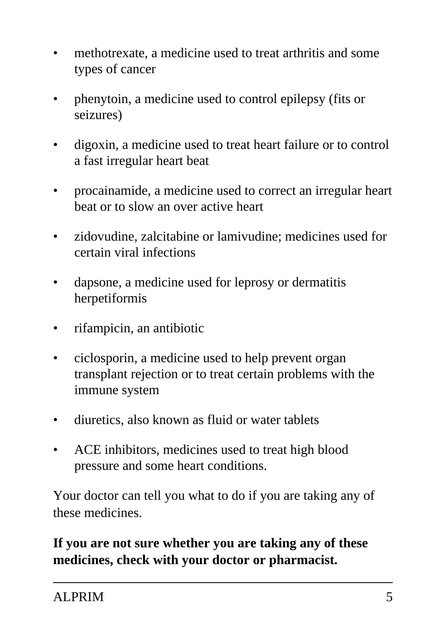- methotrexate, a medicine used to treat arthritis and some types of cancer
- phenytoin, a medicine used to control epilepsy (fits or seizures)
- digoxin, a medicine used to treat heart failure or to control a fast irregular heart beat
- procainamide, a medicine used to correct an irregular heart beat or to slow an over active heart
- zidovudine, zalcitabine or lamivudine; medicines used for certain viral infections
- dapsone, a medicine used for leprosy or dermatitis herpetiformis
- rifampicin, an antibiotic
- ciclosporin, a medicine used to help prevent organ transplant rejection or to treat certain problems with the immune system
- diuretics, also known as fluid or water tablets
- ACE inhibitors, medicines used to treat high blood pressure and some heart conditions.

Your doctor can tell you what to do if you are taking any of these medicines.

**If you are not sure whether you are taking any of these medicines, check with your doctor or pharmacist.**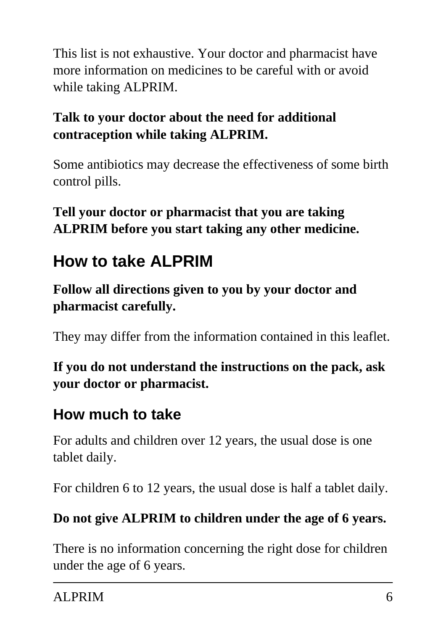This list is not exhaustive. Your doctor and pharmacist have more information on medicines to be careful with or avoid while taking ALPRIM.

### **Talk to your doctor about the need for additional contraception while taking ALPRIM.**

Some antibiotics may decrease the effectiveness of some birth control pills.

**Tell your doctor or pharmacist that you are taking ALPRIM before you start taking any other medicine.**

# **How to take ALPRIM**

**Follow all directions given to you by your doctor and pharmacist carefully.**

They may differ from the information contained in this leaflet.

**If you do not understand the instructions on the pack, ask your doctor or pharmacist.**

### **How much to take**

For adults and children over 12 years, the usual dose is one tablet daily.

For children 6 to 12 years, the usual dose is half a tablet daily.

### **Do not give ALPRIM to children under the age of 6 years.**

There is no information concerning the right dose for children under the age of 6 years.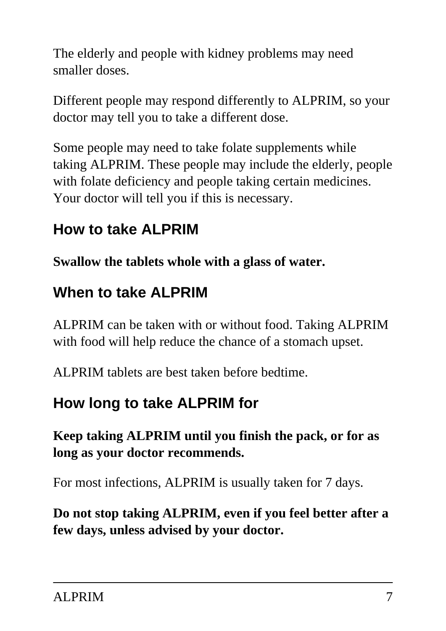The elderly and people with kidney problems may need smaller doses.

Different people may respond differently to ALPRIM, so your doctor may tell you to take a different dose.

Some people may need to take folate supplements while taking ALPRIM. These people may include the elderly, people with folate deficiency and people taking certain medicines. Your doctor will tell you if this is necessary.

## **How to take ALPRIM**

**Swallow the tablets whole with a glass of water.**

### **When to take ALPRIM**

ALPRIM can be taken with or without food. Taking ALPRIM with food will help reduce the chance of a stomach upset.

ALPRIM tablets are best taken before bedtime.

## **How long to take ALPRIM for**

### **Keep taking ALPRIM until you finish the pack, or for as long as your doctor recommends.**

For most infections, ALPRIM is usually taken for 7 days.

**Do not stop taking ALPRIM, even if you feel better after a few days, unless advised by your doctor.**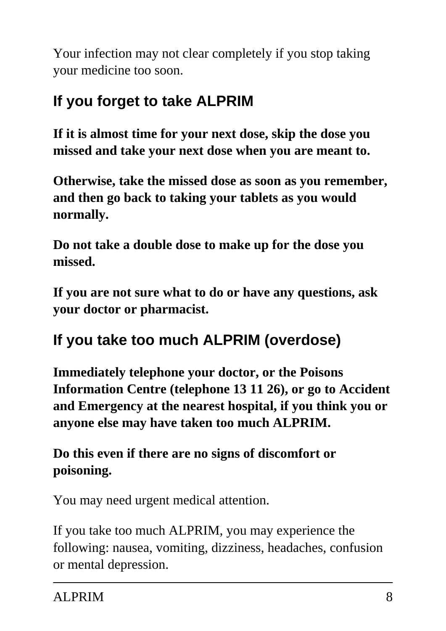Your infection may not clear completely if you stop taking your medicine too soon.

# **If you forget to take ALPRIM**

**If it is almost time for your next dose, skip the dose you missed and take your next dose when you are meant to.**

**Otherwise, take the missed dose as soon as you remember, and then go back to taking your tablets as you would normally.**

**Do not take a double dose to make up for the dose you missed.**

**If you are not sure what to do or have any questions, ask your doctor or pharmacist.**

## **If you take too much ALPRIM (overdose)**

**Immediately telephone your doctor, or the Poisons Information Centre (telephone 13 11 26), or go to Accident and Emergency at the nearest hospital, if you think you or anyone else may have taken too much ALPRIM.**

### **Do this even if there are no signs of discomfort or poisoning.**

You may need urgent medical attention.

If you take too much ALPRIM, you may experience the following: nausea, vomiting, dizziness, headaches, confusion or mental depression.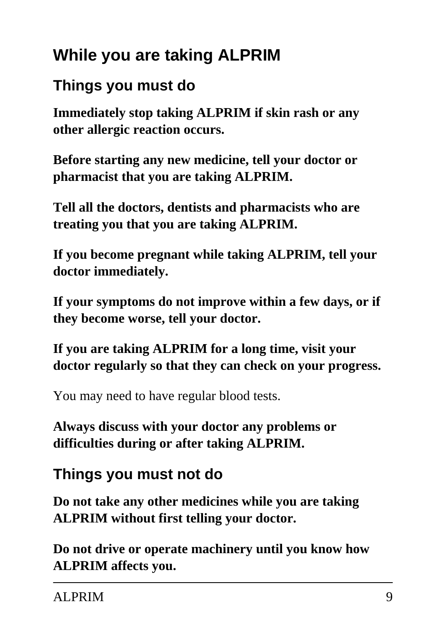# **While you are taking ALPRIM**

### **Things you must do**

**Immediately stop taking ALPRIM if skin rash or any other allergic reaction occurs.**

**Before starting any new medicine, tell your doctor or pharmacist that you are taking ALPRIM.**

**Tell all the doctors, dentists and pharmacists who are treating you that you are taking ALPRIM.**

**If you become pregnant while taking ALPRIM, tell your doctor immediately.**

**If your symptoms do not improve within a few days, or if they become worse, tell your doctor.**

**If you are taking ALPRIM for a long time, visit your doctor regularly so that they can check on your progress.**

You may need to have regular blood tests.

**Always discuss with your doctor any problems or difficulties during or after taking ALPRIM.**

# **Things you must not do**

**Do not take any other medicines while you are taking ALPRIM without first telling your doctor.**

**Do not drive or operate machinery until you know how ALPRIM affects you.**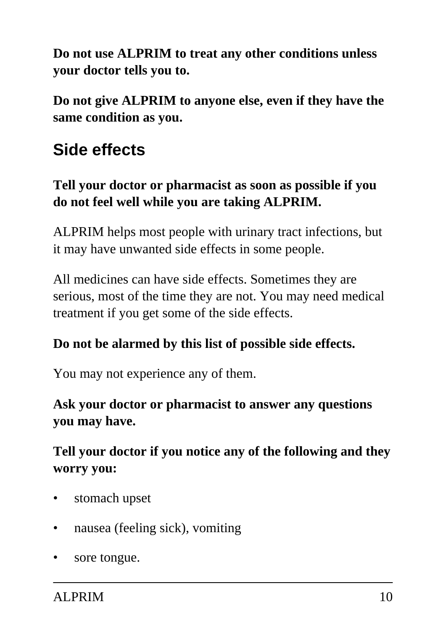**Do not use ALPRIM to treat any other conditions unless your doctor tells you to.**

**Do not give ALPRIM to anyone else, even if they have the same condition as you.**

# **Side effects**

### **Tell your doctor or pharmacist as soon as possible if you do not feel well while you are taking ALPRIM.**

ALPRIM helps most people with urinary tract infections, but it may have unwanted side effects in some people.

All medicines can have side effects. Sometimes they are serious, most of the time they are not. You may need medical treatment if you get some of the side effects.

#### **Do not be alarmed by this list of possible side effects.**

You may not experience any of them.

**Ask your doctor or pharmacist to answer any questions you may have.**

### **Tell your doctor if you notice any of the following and they worry you:**

- stomach upset
- nausea (feeling sick), vomiting
- sore tongue.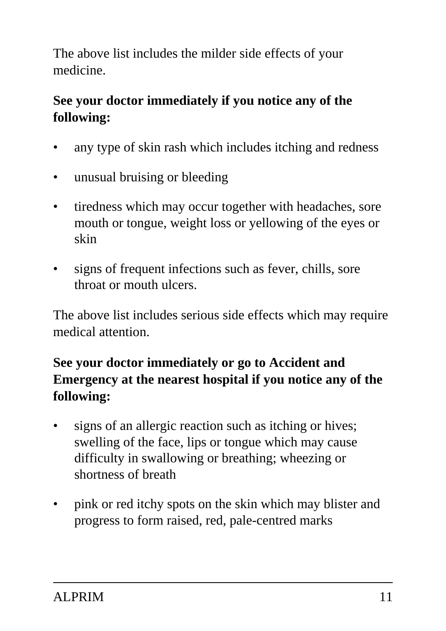The above list includes the milder side effects of your medicine.

### **See your doctor immediately if you notice any of the following:**

- any type of skin rash which includes itching and redness
- unusual bruising or bleeding
- tiredness which may occur together with headaches, sore mouth or tongue, weight loss or yellowing of the eyes or skin
- signs of frequent infections such as fever, chills, sore throat or mouth ulcers.

The above list includes serious side effects which may require medical attention.

### **See your doctor immediately or go to Accident and Emergency at the nearest hospital if you notice any of the following:**

- signs of an allergic reaction such as itching or hives; swelling of the face, lips or tongue which may cause difficulty in swallowing or breathing; wheezing or shortness of breath
- pink or red itchy spots on the skin which may blister and progress to form raised, red, pale-centred marks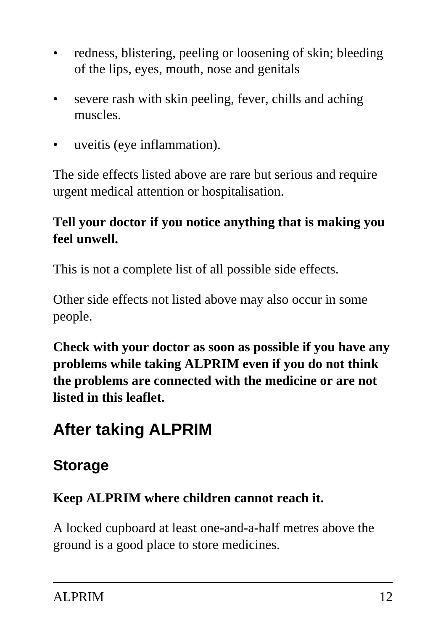- redness, blistering, peeling or loosening of skin; bleeding of the lips, eyes, mouth, nose and genitals
- severe rash with skin peeling, fever, chills and aching muscles.
- uveitis (eye inflammation).

The side effects listed above are rare but serious and require urgent medical attention or hospitalisation.

### **Tell your doctor if you notice anything that is making you feel unwell.**

This is not a complete list of all possible side effects.

Other side effects not listed above may also occur in some people.

**Check with your doctor as soon as possible if you have any problems while taking ALPRIM even if you do not think the problems are connected with the medicine or are not listed in this leaflet.**

# **After taking ALPRIM**

## **Storage**

#### **Keep ALPRIM where children cannot reach it.**

A locked cupboard at least one-and-a-half metres above the ground is a good place to store medicines.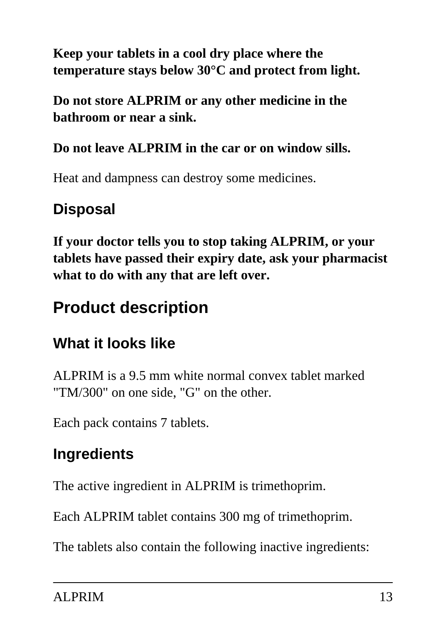### **Keep your tablets in a cool dry place where the temperature stays below 30°C and protect from light.**

**Do not store ALPRIM or any other medicine in the bathroom or near a sink.**

### **Do not leave ALPRIM in the car or on window sills.**

Heat and dampness can destroy some medicines.

# **Disposal**

**If your doctor tells you to stop taking ALPRIM, or your tablets have passed their expiry date, ask your pharmacist what to do with any that are left over.**

# **Product description**

## **What it looks like**

ALPRIM is a 9.5 mm white normal convex tablet marked "TM/300" on one side, "G" on the other.

Each pack contains 7 tablets.

# **Ingredients**

The active ingredient in ALPRIM is trimethoprim.

Each ALPRIM tablet contains 300 mg of trimethoprim.

The tablets also contain the following inactive ingredients: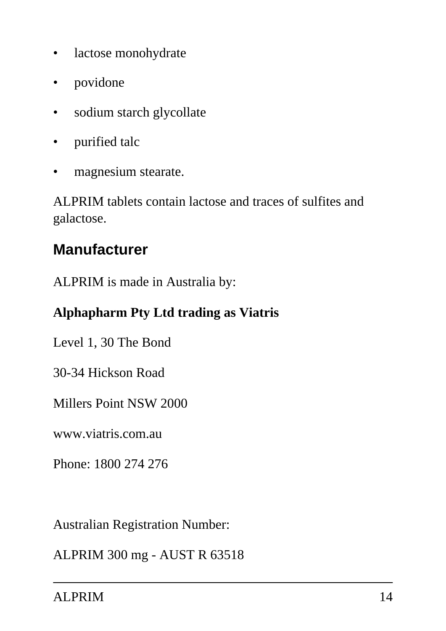- lactose monohydrate
- povidone
- sodium starch glycollate
- purified talc
- magnesium stearate.

ALPRIM tablets contain lactose and traces of sulfites and galactose.

### **Manufacturer**

ALPRIM is made in Australia by:

#### **Alphapharm Pty Ltd trading as Viatris**

Level 1, 30 The Bond

30-34 Hickson Road

Millers Point NSW 2000

www.viatris.com.au

Phone: 1800 274 276

Australian Registration Number:

ALPRIM 300 mg - AUST R 63518